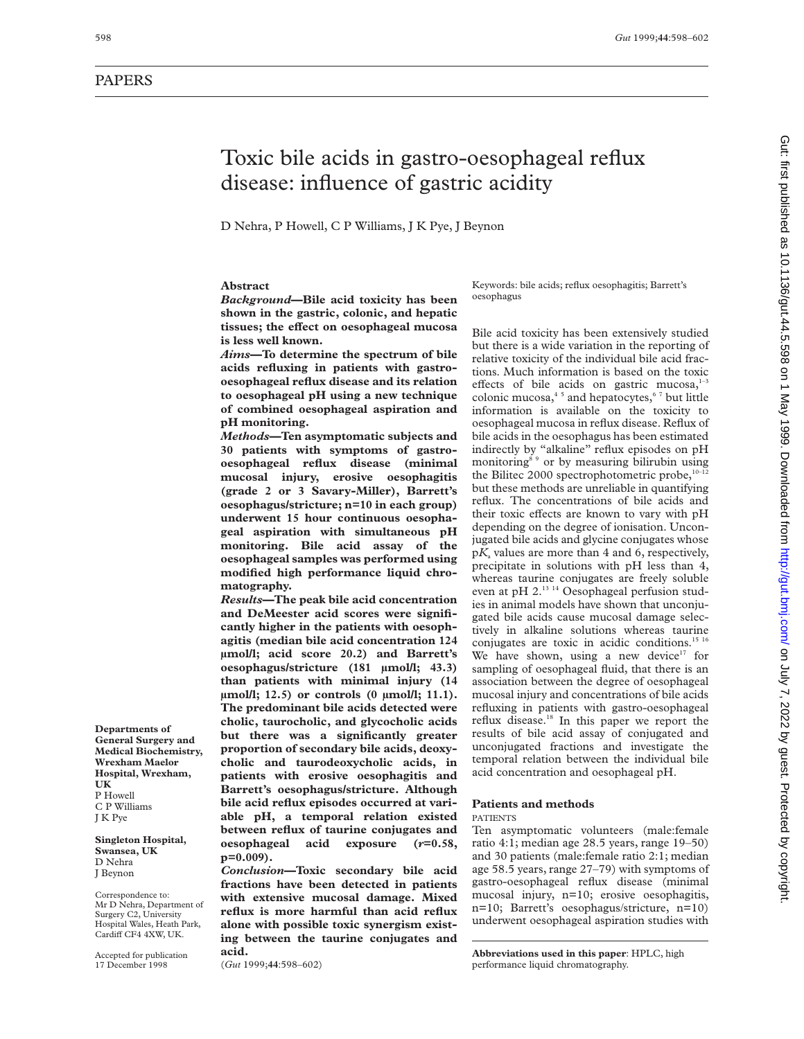# PAPERS

**Departments of General Surgery and Medical Biochemistry, Wrexham Maelor Hospital, Wrexham,**

**Singleton Hospital, Swansea, UK** D Nehra J Beynon

Correspondence to: Mr D Nehra, Department of Surgery C2, University Hospital Wales, Heath Park, Cardiff CF4 4XW, UK. Accepted for publication 17 December 1998

**UK** P Howell C P Williams J K Pye

# Toxic bile acids in gastro-oesophageal reflux disease: influence of gastric acidity

D Nehra, P Howell, C P Williams, J K Pye, J Beynon

### **Abstract**

*Background***—Bile acid toxicity has been shown in the gastric, colonic, and hepatic** tissues; the effect on oesophageal mucosa **is less well known.**

*Aims***—To determine the spectrum of bile acids refluxing in patients with gastrooesophageal reflux disease and its relation to oesophageal pH using a new technique of combined oesophageal aspiration and pH monitoring.**

*Methods***—Ten asymptomatic subjects and 30 patients with symptoms of gastrooesophageal reflux disease (minimal mucosal injury, erosive oesophagitis (grade 2 or 3 Savary-Miller), Barrett's oesophagus/stricture; n=10 in each group) underwent 15 hour continuous oesophageal aspiration with simultaneous pH monitoring. Bile acid assay of the oesophageal samples was performed using modified high performance liquid chromatography.**

*Results***—The peak bile acid concentration and DeMeester acid scores were significantly higher in the patients with oesophagitis (median bile acid concentration 124 µmol/l; acid score 20.2) and Barrett's oesophagus/stricture (181 µmol/l; 43.3) than patients with minimal injury (14 µmol/l; 12.5) or controls (0 µmol/l; 11.1). The predominant bile acids detected were cholic, taurocholic, and glycocholic acids but there was a significantly greater proportion of secondary bile acids, deoxycholic and taurodeoxycholic acids, in patients with erosive oesophagitis and Barrett's oesophagus/stricture. Although bile acid reflux episodes occurred at variable pH, a temporal relation existed between reflux of taurine conjugates and oesophageal acid exposure (***r***=0.58, p=0.009).**

*Conclusion***—Toxic secondary bile acid fractions have been detected in patients with extensive mucosal damage. Mixed reflux is more harmful than acid reflux alone with possible toxic synergism existing between the taurine conjugates and acid.**

(*Gut* 1999;**44**:598–602)

Keywords: bile acids; reflux oesophagitis; Barrett's oesophagus

Bile acid toxicity has been extensively studied but there is a wide variation in the reporting of relative toxicity of the individual bile acid fractions. Much information is based on the toxic effects of bile acids on gastric mucosa, $1-3$ colonic mucosa, $45$  and hepatocytes, $67$  but little information is available on the toxicity to oesophageal mucosa in reflux disease. Reflux of bile acids in the oesophagus has been estimated indirectly by "alkaline" reflux episodes on pH monitoring<sup>89</sup> or by measuring bilirubin using the Bilitec 2000 spectrophotometric probe, $10-12$ but these methods are unreliable in quantifying reflux. The concentrations of bile acids and their toxic effects are known to vary with pH depending on the degree of ionisation. Unconjugated bile acids and glycine conjugates whose  $pK$ , values are more than 4 and 6, respectively, precipitate in solutions with pH less than 4, whereas taurine conjugates are freely soluble even at pH 2.13 14 Oesophageal perfusion studies in animal models have shown that unconjugated bile acids cause mucosal damage selectively in alkaline solutions whereas taurine conjugates are toxic in acidic conditions.<sup>15 16</sup> We have shown, using a new device $17$  for sampling of oesophageal fluid, that there is an association between the degree of oesophageal mucosal injury and concentrations of bile acids refluxing in patients with gastro-oesophageal reflux disease.18 In this paper we report the results of bile acid assay of conjugated and unconjugated fractions and investigate the temporal relation between the individual bile acid concentration and oesophageal pH.

#### **Patients and methods** PATIENTS

Ten asymptomatic volunteers (male:female ratio 4:1; median age 28.5 years, range 19–50) and 30 patients (male:female ratio 2:1; median age 58.5 years, range 27–79) with symptoms of gastro-oesophageal reflux disease (minimal mucosal injury, n=10; erosive oesophagitis, n=10; Barrett's oesophagus/stricture, n=10) underwent oesophageal aspiration studies with

**Abbreviations used in this paper**: HPLC, high performance liquid chromatography.

Gut: first published as 10.1136/gut.44.5.598 on 1 May 1999. Downloaded from http://gut.bmj.com/ on July 7, 2022 by guest. Protected by copyright on July 7, 2022 by guest. Protected by copyright. <http://gut.bmj.com/> Gut: first published as 10.1136/gut.44.5.598 on 1 May 1999. Downloaded from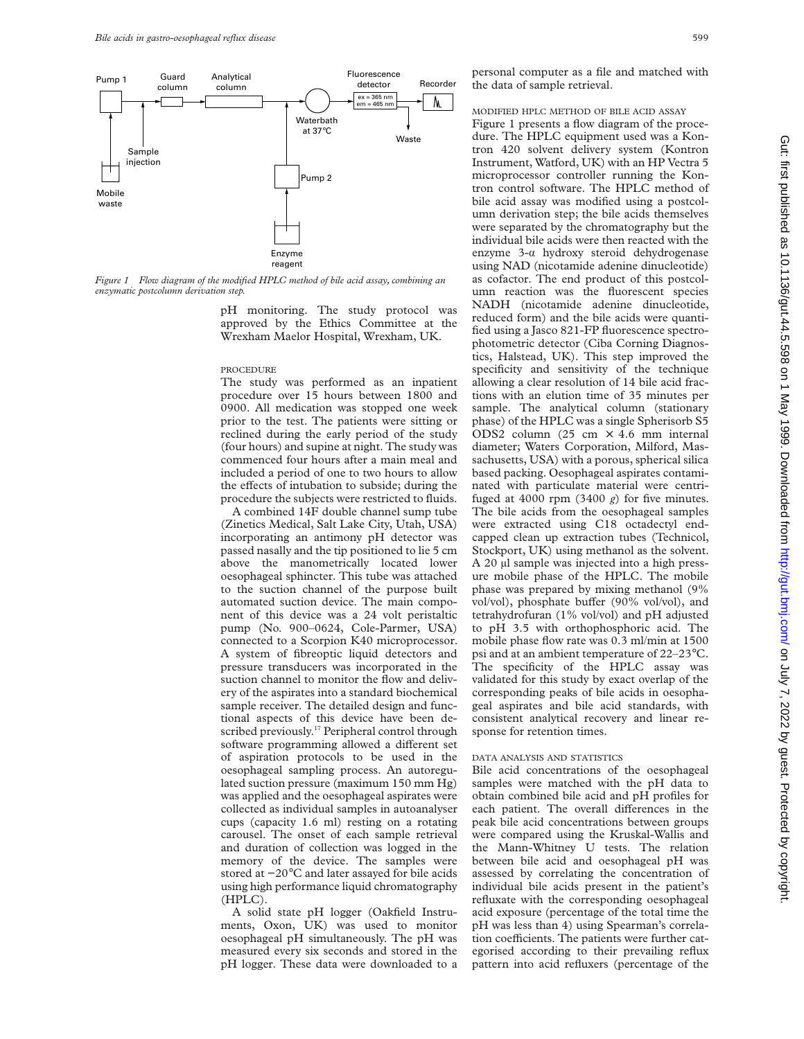

*Figure 1 Flow diagram of the modified HPLC method of bile acid assay, combining an enzymatic postcolumn derivation step.*

pH monitoring. The study protocol was approved by the Ethics Committee at the Wrexham Maelor Hospital, Wrexham, UK.

#### PROCEDURE

The study was performed as an inpatient procedure over 15 hours between 1800 and 0900. All medication was stopped one week prior to the test. The patients were sitting or reclined during the early period of the study (four hours) and supine at night. The study was commenced four hours after a main meal and included a period of one to two hours to allow the effects of intubation to subside; during the procedure the subjects were restricted to fluids.

A combined 14F double channel sump tube (Zinetics Medical, Salt Lake City, Utah, USA) incorporating an antimony pH detector was passed nasally and the tip positioned to lie 5 cm above the manometrically located lower oesophageal sphincter. This tube was attached to the suction channel of the purpose built automated suction device. The main component of this device was a 24 volt peristaltic pump (No. 900–0624, Cole-Parmer, USA) connected to a Scorpion K40 microprocessor. A system of fibreoptic liquid detectors and pressure transducers was incorporated in the suction channel to monitor the flow and delivery of the aspirates into a standard biochemical sample receiver. The detailed design and functional aspects of this device have been described previously.<sup>17</sup> Peripheral control through software programming allowed a different set of aspiration protocols to be used in the oesophageal sampling process. An autoregulated suction pressure (maximum 150 mm Hg) was applied and the oesophageal aspirates were collected as individual samples in autoanalyser cups (capacity 1.6 ml) resting on a rotating carousel. The onset of each sample retrieval and duration of collection was logged in the memory of the device. The samples were stored at −20°C and later assayed for bile acids using high performance liquid chromatography (HPLC).

A solid state pH logger (Oakfield Instruments, Oxon, UK) was used to monitor oesophageal pH simultaneously. The pH was measured every six seconds and stored in the pH logger. These data were downloaded to a personal computer as a file and matched with the data of sample retrieval.

#### MODIFIED HPLC METHOD OF BILE ACID ASSAY

Figure 1 presents a flow diagram of the procedure. The HPLC equipment used was a Kontron 420 solvent delivery system (Kontron Instrument, Watford, UK) with an HP Vectra 5 microprocessor controller running the Kontron control software. The HPLC method of bile acid assay was modified using a postcolumn derivation step; the bile acids themselves were separated by the chromatography but the individual bile acids were then reacted with the enzyme  $3-\alpha$  hydroxy steroid dehydrogenase using NAD (nicotamide adenine dinucleotide) as cofactor. The end product of this postcolumn reaction was the fluorescent species NADH (nicotamide adenine dinucleotide, reduced form) and the bile acids were quantified using a Jasco 821-FP fluorescence spectrophotometric detector (Ciba Corning Diagnostics, Halstead, UK). This step improved the specificity and sensitivity of the technique allowing a clear resolution of 14 bile acid fractions with an elution time of 35 minutes per sample. The analytical column (stationary phase) of the HPLC was a single Spherisorb S5 ODS2 column (25 cm  $\times$  4.6 mm internal diameter; Waters Corporation, Milford, Massachusetts, USA) with a porous, spherical silica based packing. Oesophageal aspirates contaminated with particulate material were centrifuged at 4000 rpm  $(3400 g)$  for five minutes. The bile acids from the oesophageal samples were extracted using C18 octadectyl endcapped clean up extraction tubes (Technicol, Stockport, UK) using methanol as the solvent. A 20 µl sample was injected into a high pressure mobile phase of the HPLC. The mobile phase was prepared by mixing methanol (9% vol/vol), phosphate buffer (90% vol/vol), and tetrahydrofuran (1% vol/vol) and pH adjusted to pH 3.5 with orthophosphoric acid. The mobile phase flow rate was 0.3 ml/min at 1500 psi and at an ambient temperature of 22–23°C. The specificity of the HPLC assay was validated for this study by exact overlap of the corresponding peaks of bile acids in oesophageal aspirates and bile acid standards, with consistent analytical recovery and linear response for retention times.

## DATA ANALYSIS AND STATISTICS

Bile acid concentrations of the oesophageal samples were matched with the pH data to obtain combined bile acid and pH profiles for each patient. The overall differences in the peak bile acid concentrations between groups were compared using the Kruskal-Wallis and the Mann-Whitney U tests. The relation between bile acid and oesophageal pH was assessed by correlating the concentration of individual bile acids present in the patient's refluxate with the corresponding oesophageal acid exposure (percentage of the total time the pH was less than 4) using Spearman's correlation coefficients. The patients were further categorised according to their prevailing reflux pattern into acid refluxers (percentage of the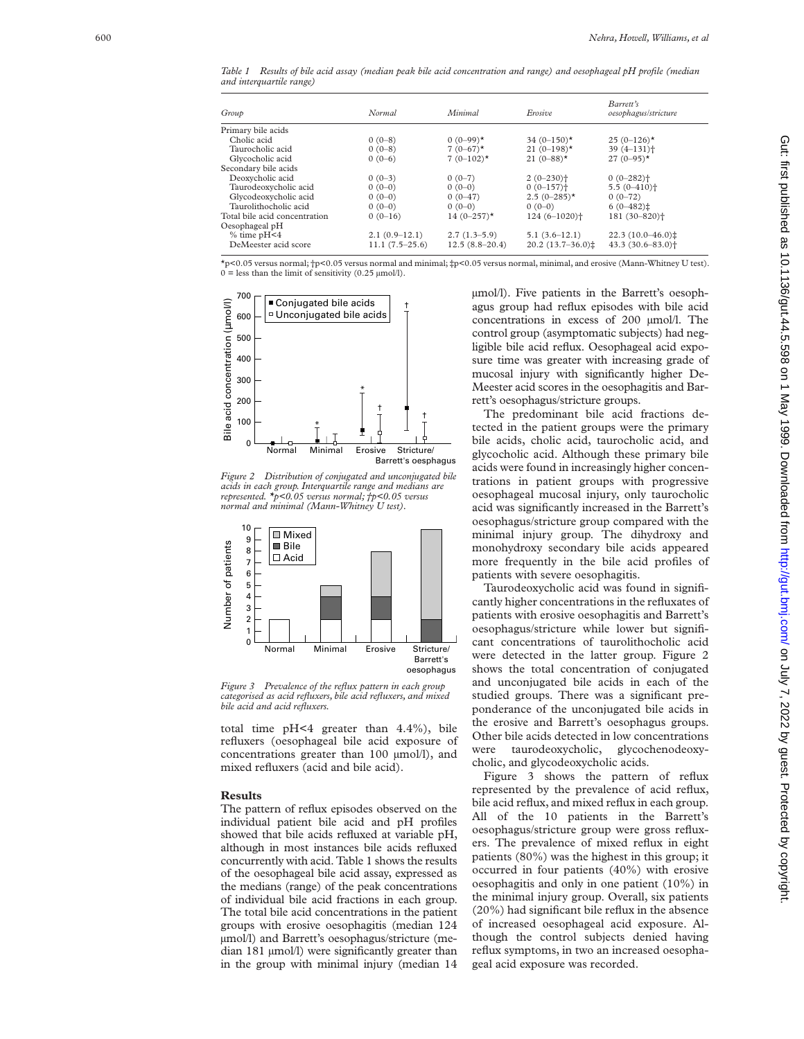*Table 1 Results of bile acid assay (median peak bile acid concentration and range) and oesophageal pH profile (median and interquartile range)*

| Group                         | Normal           | Minimal          | Erosive                    | Barrett's<br>oesophagus/stricture |
|-------------------------------|------------------|------------------|----------------------------|-----------------------------------|
| Primary bile acids            |                  |                  |                            |                                   |
| Cholic acid                   | $0(0-8)$         | $0(0-99)$ *      | 34 $(0-150)$ *             | $25(0-126)$ *                     |
| Taurocholic acid              | $0(0-8)$         | $7(0-67)$ *      | 21 $(0-198)$ *             | $39(4 - 131)$ <sup>+</sup>        |
| Glycocholic acid              | $0(0-6)$         | $7(0-102)$ *     | 21 $(0-88)$ *              | $27(0-95)$ *                      |
| Secondary bile acids          |                  |                  |                            |                                   |
| Deoxycholic acid              | $0(0-3)$         | $0(0-7)$         | $2(0-230)$ <sup>+</sup>    | $0(0-282)$ <sup>+</sup>           |
| Taurodeoxycholic acid         | $0(0-0)$         | $0(0-0)$         | $0(0-157)$ <sup>+</sup>    | $5.5(0-410)$ <sup>+</sup>         |
| Glycodeoxycholic acid         | $0(0-0)$         | $0(0-47)$        | $2.5(0-285)$ *             | $0(0-72)$                         |
| Taurolithocholic acid         | $0(0-0)$         | $0(0-0)$         | $0(0-0)$                   | $6(0-482)$                        |
| Total bile acid concentration | $0(0-16)$        | 14 $(0-257)$ *   | $124(6-1020)$ <sup>+</sup> | 181 (30-820) <sup>+</sup>         |
| Oesophageal pH                |                  |                  |                            |                                   |
| $%$ time pH<4                 | $2.1(0.9-12.1)$  | $2.7(1.3-5.9)$   | $5.1(3.6-12.1)$            | $22.3(10.0-46.0)$                 |
| DeMeester acid score          | $11.1(7.5-25.6)$ | $12.5(8.8-20.4)$ | $20.2(13.7-36.0)$ :        | $43.3(30.6 - 83.0)$ <sup>+</sup>  |

\*p<0.05 versus normal; †p<0.05 versus normal and minimal; ‡p<0.05 versus normal, minimal, and erosive (Mann-Whitney U test).  $0 =$  less than the limit of sensitivity (0.25  $\mu$ mol/l).



*Figure 2 Distribution of conjugated and unconjugated bile acids in each group. Interquartile range and medians are represented. \*p<0.05 versus normal; †p<0.05 versus normal and minimal (Mann-Whitney U test).*



*Figure 3 Prevalence of the reflux pattern in each group categorised as acid refluxers, bile acid refluxers, and mixed bile acid and acid refluxers.*

total time pH<4 greater than 4.4%), bile refluxers (oesophageal bile acid exposure of concentrations greater than 100  $\mu$ mol/l), and mixed refluxers (acid and bile acid).

#### **Results**

The pattern of reflux episodes observed on the individual patient bile acid and pH profiles showed that bile acids refluxed at variable pH, although in most instances bile acids refluxed concurrently with acid. Table 1 shows the results of the oesophageal bile acid assay, expressed as the medians (range) of the peak concentrations of individual bile acid fractions in each group. The total bile acid concentrations in the patient groups with erosive oesophagitis (median 124 µmol/l) and Barrett's oesophagus/stricture (median 181 µmol/l) were significantly greater than in the group with minimal injury (median 14 µmol/l). Five patients in the Barrett's oesophagus group had reflux episodes with bile acid concentrations in excess of 200 µmol/l. The control group (asymptomatic subjects) had negligible bile acid reflux. Oesophageal acid exposure time was greater with increasing grade of mucosal injury with significantly higher De-Meester acid scores in the oesophagitis and Barrett's oesophagus/stricture groups.

The predominant bile acid fractions detected in the patient groups were the primary bile acids, cholic acid, taurocholic acid, and glycocholic acid. Although these primary bile acids were found in increasingly higher concentrations in patient groups with progressive oesophageal mucosal injury, only taurocholic acid was significantly increased in the Barrett's oesophagus/stricture group compared with the minimal injury group. The dihydroxy and monohydroxy secondary bile acids appeared more frequently in the bile acid profiles of patients with severe oesophagitis.

Taurodeoxycholic acid was found in significantly higher concentrations in the refluxates of patients with erosive oesophagitis and Barrett's oesophagus/stricture while lower but significant concentrations of taurolithocholic acid were detected in the latter group. Figure 2 shows the total concentration of conjugated and unconjugated bile acids in each of the studied groups. There was a significant preponderance of the unconjugated bile acids in the erosive and Barrett's oesophagus groups. Other bile acids detected in low concentrations were taurodeoxycholic, glycochenodeoxycholic, and glycodeoxycholic acids.

Figure 3 shows the pattern of reflux represented by the prevalence of acid reflux, bile acid reflux, and mixed reflux in each group. All of the 10 patients in the Barrett's oesophagus/stricture group were gross refluxers. The prevalence of mixed reflux in eight patients (80%) was the highest in this group; it occurred in four patients (40%) with erosive oesophagitis and only in one patient (10%) in the minimal injury group. Overall, six patients (20%) had significant bile reflux in the absence of increased oesophageal acid exposure. Although the control subjects denied having reflux symptoms, in two an increased oesophageal acid exposure was recorded.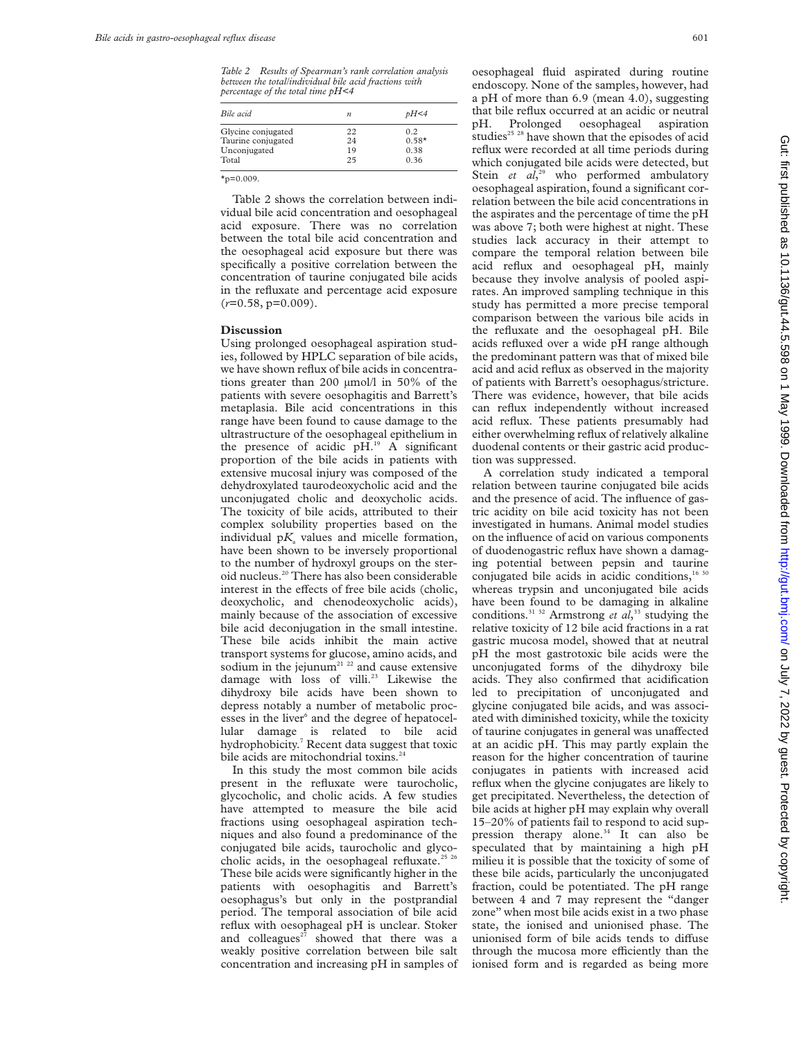*Table 2 Results of Spearman's rank correlation analysis between the total/individual bile acid fractions with percentage of the total time pH<4*

| Bile acid          | n  | pH<4    |
|--------------------|----|---------|
| Glycine conjugated | 22 | 0.2     |
| Taurine conjugated | 24 | $0.58*$ |
| Unconjugated       | 19 | 0.38    |
| Total              | 25 | 0.36    |

 $x_{p=0.009}$ .

Table 2 shows the correlation between individual bile acid concentration and oesophageal acid exposure. There was no correlation between the total bile acid concentration and the oesophageal acid exposure but there was specifically a positive correlation between the concentration of taurine conjugated bile acids in the refluxate and percentage acid exposure (*r*=0.58, p=0.009).

#### **Discussion**

Using prolonged oesophageal aspiration studies, followed by HPLC separation of bile acids, we have shown reflux of bile acids in concentrations greater than 200 µmol/l in 50% of the patients with severe oesophagitis and Barrett's metaplasia. Bile acid concentrations in this range have been found to cause damage to the ultrastructure of the oesophageal epithelium in the presence of acidic pH.19 A significant proportion of the bile acids in patients with extensive mucosal injury was composed of the dehydroxylated taurodeoxycholic acid and the unconjugated cholic and deoxycholic acids. The toxicity of bile acids, attributed to their complex solubility properties based on the individual  $pK_a$  values and micelle formation, have been shown to be inversely proportional to the number of hydroxyl groups on the steroid nucleus.20 There has also been considerable interest in the effects of free bile acids (cholic, deoxycholic, and chenodeoxycholic acids), mainly because of the association of excessive bile acid deconjugation in the small intestine. These bile acids inhibit the main active transport systems for glucose, amino acids, and sodium in the jejunum<sup>21 22</sup> and cause extensive damage with loss of villi.<sup>23</sup> Likewise the dihydroxy bile acids have been shown to depress notably a number of metabolic processes in the liver<sup>6</sup> and the degree of hepatocellular damage is related to bile acid hydrophobicity.<sup>7</sup> Recent data suggest that toxic bile acids are mitochondrial toxins.<sup>24</sup>

In this study the most common bile acids present in the refluxate were taurocholic, glycocholic, and cholic acids. A few studies have attempted to measure the bile acid fractions using oesophageal aspiration techniques and also found a predominance of the conjugated bile acids, taurocholic and glycocholic acids, in the oesophageal refluxate.<sup>25 26</sup> These bile acids were significantly higher in the patients with oesophagitis and Barrett's oesophagus's but only in the postprandial period. The temporal association of bile acid reflux with oesophageal pH is unclear. Stoker and colleagues $27$  showed that there was a weakly positive correlation between bile salt concentration and increasing pH in samples of

oesophageal fluid aspirated during routine endoscopy. None of the samples, however, had a pH of more than 6.9 (mean 4.0), suggesting that bile reflux occurred at an acidic or neutral pH. Prolonged oesophageal aspiration studies<sup>25</sup> <sup>28</sup> have shown that the episodes of acid reflux were recorded at all time periods during which conjugated bile acids were detected, but Stein et al,<sup>29</sup> who performed ambulatory oesophageal aspiration, found a significant correlation between the bile acid concentrations in the aspirates and the percentage of time the pH was above 7; both were highest at night. These studies lack accuracy in their attempt to compare the temporal relation between bile acid reflux and oesophageal pH, mainly because they involve analysis of pooled aspirates. An improved sampling technique in this study has permitted a more precise temporal comparison between the various bile acids in the refluxate and the oesophageal pH. Bile acids refluxed over a wide pH range although the predominant pattern was that of mixed bile acid and acid reflux as observed in the majority of patients with Barrett's oesophagus/stricture. There was evidence, however, that bile acids can reflux independently without increased acid reflux. These patients presumably had either overwhelming reflux of relatively alkaline duodenal contents or their gastric acid production was suppressed.

A correlation study indicated a temporal relation between taurine conjugated bile acids and the presence of acid. The influence of gastric acidity on bile acid toxicity has not been investigated in humans. Animal model studies on the influence of acid on various components of duodenogastric reflux have shown a damaging potential between pepsin and taurine conjugated bile acids in acidic conditions,<sup>16 30</sup> whereas trypsin and unconjugated bile acids have been found to be damaging in alkaline conditions.31 32 Armstrong *et al*, <sup>33</sup> studying the relative toxicity of 12 bile acid fractions in a rat gastric mucosa model, showed that at neutral pH the most gastrotoxic bile acids were the unconjugated forms of the dihydroxy bile acids. They also confirmed that acidification led to precipitation of unconjugated and glycine conjugated bile acids, and was associated with diminished toxicity, while the toxicity of taurine conjugates in general was unaffected at an acidic pH. This may partly explain the reason for the higher concentration of taurine conjugates in patients with increased acid reflux when the glycine conjugates are likely to get precipitated. Nevertheless, the detection of bile acids at higher pH may explain why overall 15–20% of patients fail to respond to acid suppression therapy alone.<sup>34</sup> It can also be speculated that by maintaining a high pH milieu it is possible that the toxicity of some of these bile acids, particularly the unconjugated fraction, could be potentiated. The pH range between 4 and 7 may represent the "danger zone" when most bile acids exist in a two phase state, the ionised and unionised phase. The unionised form of bile acids tends to diffuse through the mucosa more efficiently than the ionised form and is regarded as being more